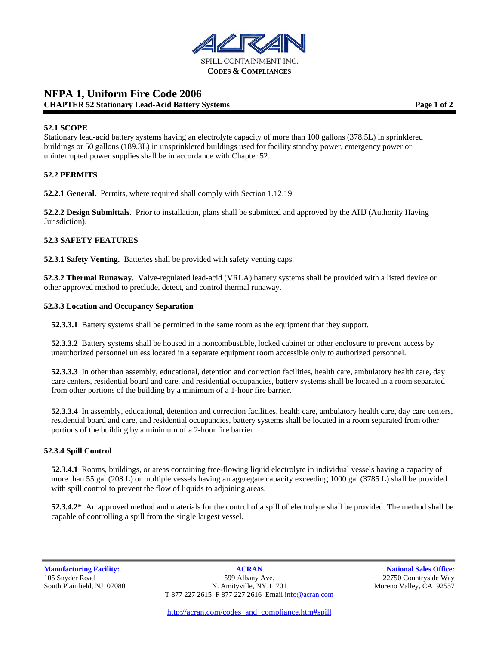

## **NFPA 1, Uniform Fire Code 2006 CHAPTER 52 Stationary Lead-Acid Battery Systems Page 1 of 2 Page 1 of 2**

### **52.1 SCOPE**

Stationary lead-acid battery systems having an electrolyte capacity of more than 100 gallons (378.5L) in sprinklered buildings or 50 gallons (189.3L) in unsprinklered buildings used for facility standby power, emergency power or uninterrupted power supplies shall be in accordance with Chapter 52.

### **52.2 PERMITS**

**52.2.1 General.** Permits, where required shall comply with Section 1.12.19

**52.2.2 Design Submittals.** Prior to installation, plans shall be submitted and approved by the AHJ (Authority Having Jurisdiction).

### **52.3 SAFETY FEATURES**

**52.3.1 Safety Venting.** Batteries shall be provided with safety venting caps.

**52.3.2 Thermal Runaway.** Valve-regulated lead-acid (VRLA) battery systems shall be provided with a listed device or other approved method to preclude, detect, and control thermal runaway.

### **52.3.3 Location and Occupancy Separation**

**52.3.3.1** Battery systems shall be permitted in the same room as the equipment that they support.

**52.3.3.2** Battery systems shall be housed in a noncombustible, locked cabinet or other enclosure to prevent access by unauthorized personnel unless located in a separate equipment room accessible only to authorized personnel.

**52.3.3.3** In other than assembly, educational, detention and correction facilities, health care, ambulatory health care, day care centers, residential board and care, and residential occupancies, battery systems shall be located in a room separated from other portions of the building by a minimum of a 1-hour fire barrier.

**52.3.3.4** In assembly, educational, detention and correction facilities, health care, ambulatory health care, day care centers, residential board and care, and residential occupancies, battery systems shall be located in a room separated from other portions of the building by a minimum of a 2-hour fire barrier.

### **52.3.4 Spill Control**

**52.3.4.1** Rooms, buildings, or areas containing free-flowing liquid electrolyte in individual vessels having a capacity of more than 55 gal (208 L) or multiple vessels having an aggregate capacity exceeding 1000 gal (3785 L) shall be provided with spill control to prevent the flow of liquids to adjoining areas.

**52.3.4.2\*** An approved method and materials for the control of a spill of electrolyte shall be provided. The method shall be capable of controlling a spill from the single largest vessel.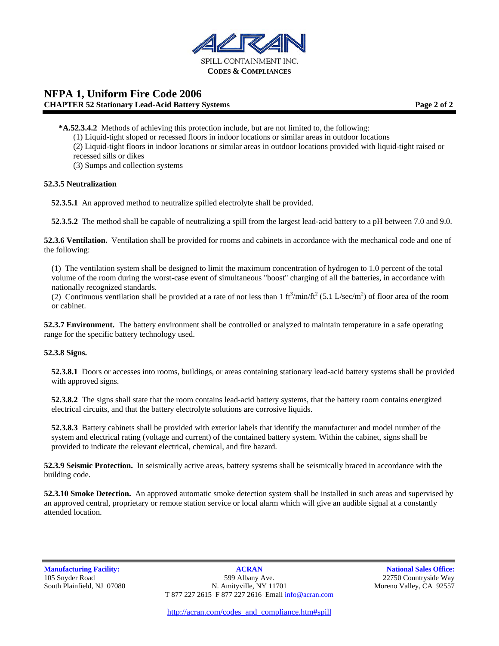

# **NFPA 1, Uniform Fire Code 2006 CHAPTER 52 Stationary Lead-Acid Battery Systems Page 2 of 2**

- **\*A.52.3.4.2** Methods of achieving this protection include, but are not limited to, the following:
	- (1) Liquid-tight sloped or recessed floors in indoor locations or similar areas in outdoor locations
	- (2) Liquid-tight floors in indoor locations or similar areas in outdoor locations provided with liquid-tight raised or recessed sills or dikes

(3) Sumps and collection systems

#### **52.3.5 Neutralization**

**52.3.5.1** An approved method to neutralize spilled electrolyte shall be provided.

**52.3.5.2** The method shall be capable of neutralizing a spill from the largest lead-acid battery to a pH between 7.0 and 9.0.

**52.3.6 Ventilation.** Ventilation shall be provided for rooms and cabinets in accordance with the mechanical code and one of the following:

(1) The ventilation system shall be designed to limit the maximum concentration of hydrogen to 1.0 percent of the total volume of the room during the worst-case event of simultaneous "boost" charging of all the batteries, in accordance with nationally recognized standards.

(2) Continuous ventilation shall be provided at a rate of not less than 1  $ft^3/min/ft^2$  (5.1 L/sec/m<sup>2</sup>) of floor area of the room or cabinet.

**52.3.7 Environment.** The battery environment shall be controlled or analyzed to maintain temperature in a safe operating range for the specific battery technology used.

### **52.3.8 Signs.**

**52.3.8.1** Doors or accesses into rooms, buildings, or areas containing stationary lead-acid battery systems shall be provided with approved signs.

**52.3.8.2** The signs shall state that the room contains lead-acid battery systems, that the battery room contains energized electrical circuits, and that the battery electrolyte solutions are corrosive liquids.

**52.3.8.3** Battery cabinets shall be provided with exterior labels that identify the manufacturer and model number of the system and electrical rating (voltage and current) of the contained battery system. Within the cabinet, signs shall be provided to indicate the relevant electrical, chemical, and fire hazard.

**52.3.9 Seismic Protection.** In seismically active areas, battery systems shall be seismically braced in accordance with the building code.

**52.3.10 Smoke Detection.** An approved automatic smoke detection system shall be installed in such areas and supervised by an approved central, proprietary or remote station service or local alarm which will give an audible signal at a constantly attended location.